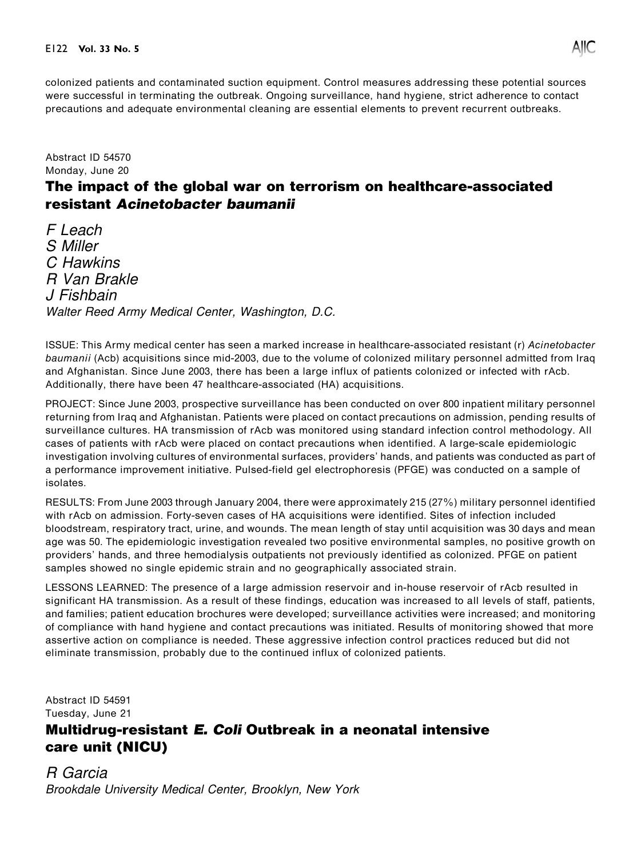

colonized patients and contaminated suction equipment. Control measures addressing these potential sources were successful in terminating the outbreak. Ongoing surveillance, hand hygiene, strict adherence to contact precautions and adequate environmental cleaning are essential elements to prevent recurrent outbreaks.

Abstract ID 54570 Monday, June 20

## The impact of the global war on terrorism on healthcare-associated resistant Acinetobacter baumanii

F Leach S Miller C Hawkins R Van Brakle J Fishbain Walter Reed Army Medical Center, Washington, D.C.

ISSUE: This Army medical center has seen a marked increase in healthcare-associated resistant (r) Acinetobacter baumanii (Acb) acquisitions since mid-2003, due to the volume of colonized military personnel admitted from Iraq and Afghanistan. Since June 2003, there has been a large influx of patients colonized or infected with rAcb. Additionally, there have been 47 healthcare-associated (HA) acquisitions.

PROJECT: Since June 2003, prospective surveillance has been conducted on over 800 inpatient military personnel returning from Iraq and Afghanistan. Patients were placed on contact precautions on admission, pending results of surveillance cultures. HA transmission of rAcb was monitored using standard infection control methodology. All cases of patients with rAcb were placed on contact precautions when identified. A large-scale epidemiologic investigation involving cultures of environmental surfaces, providers' hands, and patients was conducted as part of a performance improvement initiative. Pulsed-field gel electrophoresis (PFGE) was conducted on a sample of isolates.

RESULTS: From June 2003 through January 2004, there were approximately 215 (27%) military personnel identified with rAcb on admission. Forty-seven cases of HA acquisitions were identified. Sites of infection included bloodstream, respiratory tract, urine, and wounds. The mean length of stay until acquisition was 30 days and mean age was 50. The epidemiologic investigation revealed two positive environmental samples, no positive growth on providers' hands, and three hemodialysis outpatients not previously identified as colonized. PFGE on patient samples showed no single epidemic strain and no geographically associated strain.

LESSONS LEARNED: The presence of a large admission reservoir and in-house reservoir of rAcb resulted in significant HA transmission. As a result of these findings, education was increased to all levels of staff, patients, and families; patient education brochures were developed; surveillance activities were increased; and monitoring of compliance with hand hygiene and contact precautions was initiated. Results of monitoring showed that more assertive action on compliance is needed. These aggressive infection control practices reduced but did not eliminate transmission, probably due to the continued influx of colonized patients.

Abstract ID 54591 Tuesday, June 21

## Multidrug-resistant E. Coli Outbreak in a neonatal intensive care unit (NICU)

R Garcia Brookdale University Medical Center, Brooklyn, New York